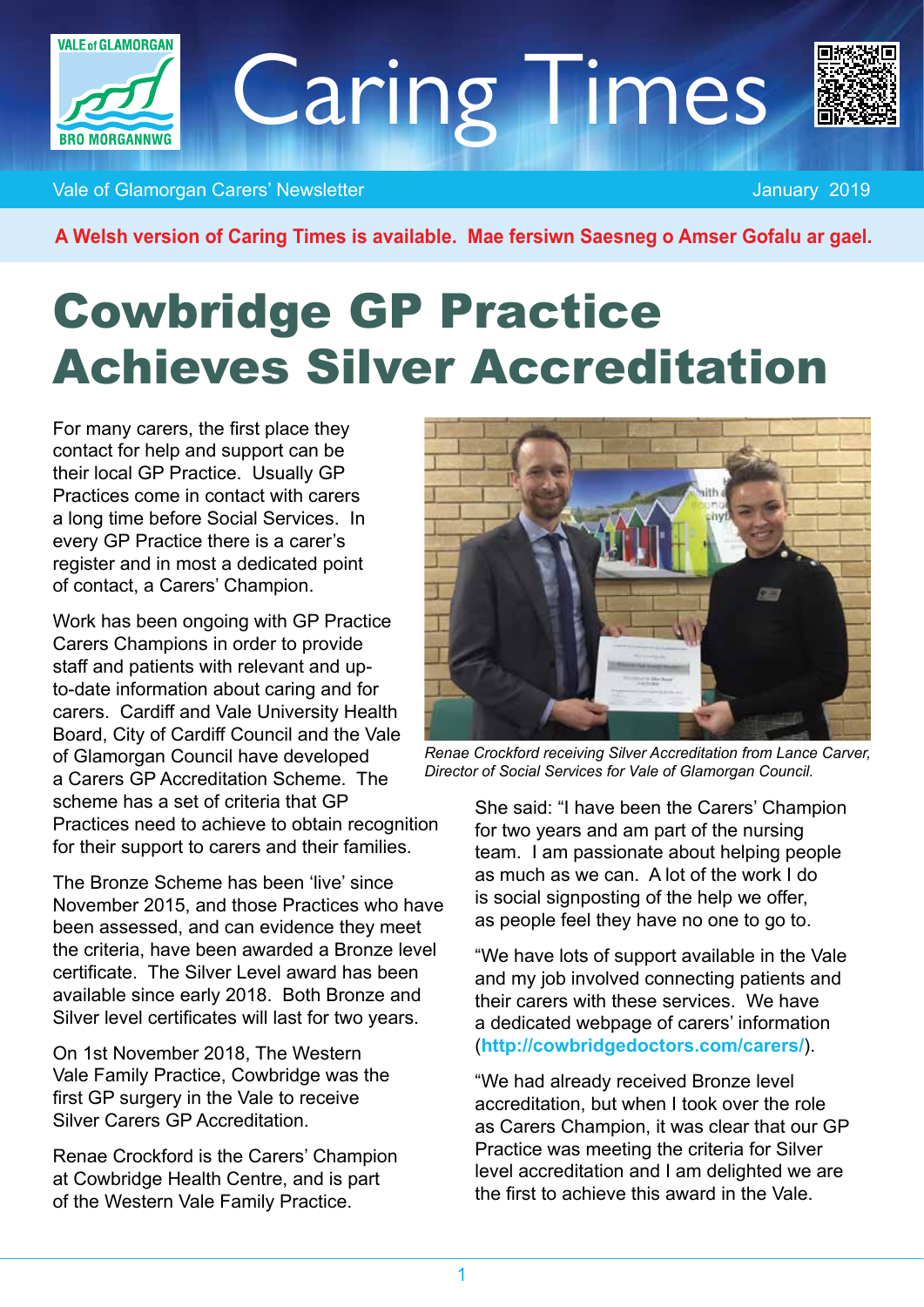

Caring Times



Vale of Glamorgan Carers' Newsletter January 2019 and Carer January 2019

**A Welsh version of Caring Times is available. Mae fersiwn Saesneg o Amser Gofalu ar gael.**

# Cowbridge GP Practice Achieves Silver Accreditation

For many carers, the first place they contact for help and support can be their local GP Practice. Usually GP Practices come in contact with carers a long time before Social Services. In every GP Practice there is a carer's register and in most a dedicated point of contact, a Carers' Champion.

Work has been ongoing with GP Practice Carers Champions in order to provide staff and patients with relevant and upto-date information about caring and for carers. Cardiff and Vale University Health Board, City of Cardiff Council and the Vale of Glamorgan Council have developed a Carers GP Accreditation Scheme. The scheme has a set of criteria that GP Practices need to achieve to obtain recognition for their support to carers and their families.

The Bronze Scheme has been 'live' since November 2015, and those Practices who have been assessed, and can evidence they meet the criteria, have been awarded a Bronze level certificate. The Silver Level award has been available since early 2018. Both Bronze and Silver level certificates will last for two years.

On 1st November 2018, The Western Vale Family Practice, Cowbridge was the first GP surgery in the Vale to receive Silver Carers GP Accreditation.

Renae Crockford is the Carers' Champion at Cowbridge Health Centre, and is part of the Western Vale Family Practice.



*Renae Crockford receiving Silver Accreditation from Lance Carver, Director of Social Services for Vale of Glamorgan Council.*

She said: "I have been the Carers' Champion for two years and am part of the nursing team. I am passionate about helping people as much as we can. A lot of the work I do is social signposting of the help we offer, as people feel they have no one to go to.

"We have lots of support available in the Vale and my job involved connecting patients and their carers with these services. We have a dedicated webpage of carers' information (**<http://cowbridgedoctors.com/carers/>**).

"We had already received Bronze level accreditation, but when I took over the role as Carers Champion, it was clear that our GP Practice was meeting the criteria for Silver level accreditation and I am delighted we are the first to achieve this award in the Vale.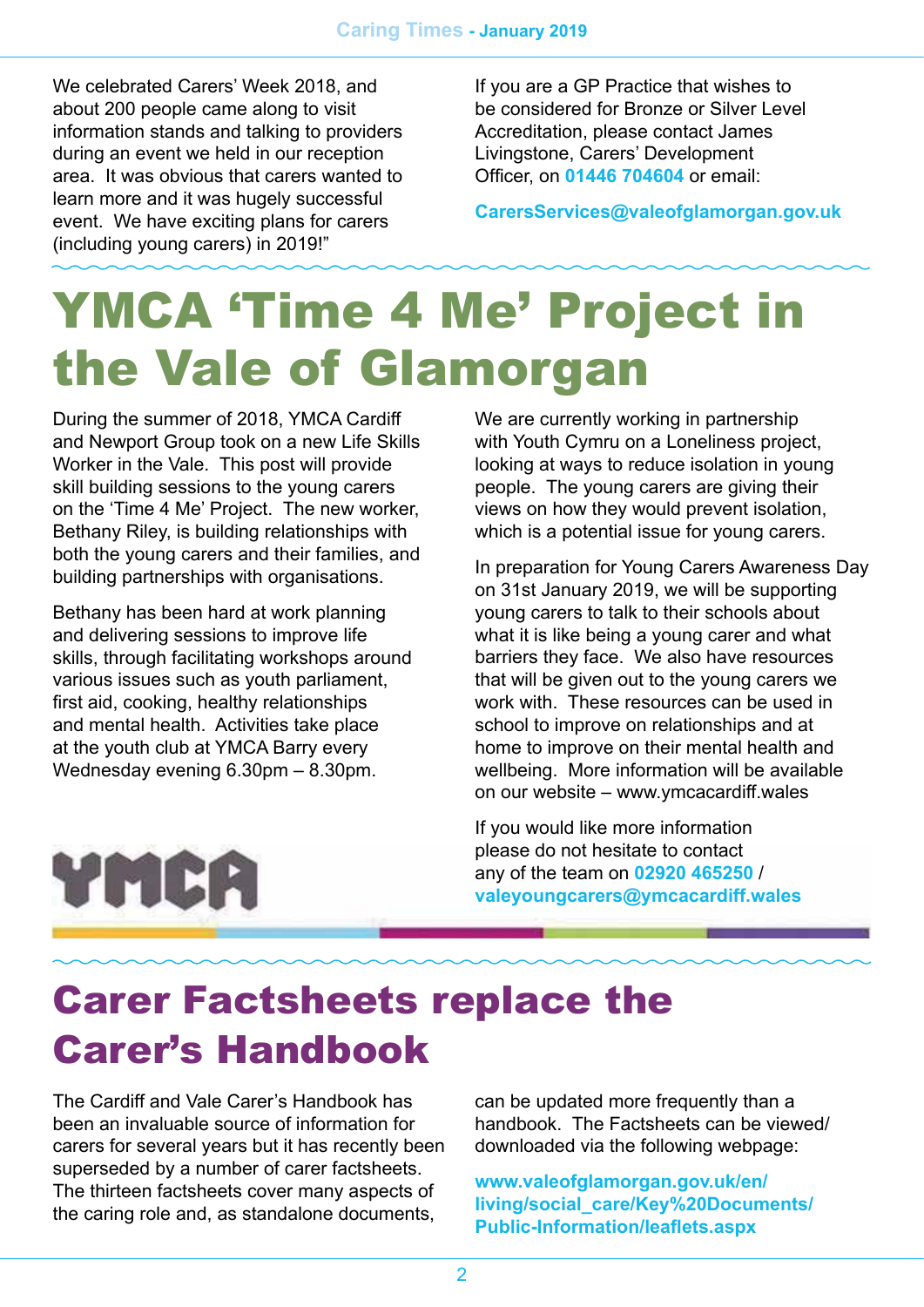We celebrated Carers' Week 2018, and about 200 people came along to visit information stands and talking to providers during an event we held in our reception area. It was obvious that carers wanted to learn more and it was hugely successful event. We have exciting plans for carers (including young carers) in 2019!"

If you are a GP Practice that wishes to be considered for Bronze or Silver Level Accreditation, please contact James Livingstone, Carers' Development Officer, on **01446 704604** or email:

**[CarersServices@valeofglamorgan.gov.uk](mailto:CarersServices@valeofglamorgan.gov.uk)**

# YMCA 'Time 4 Me' Project in the Vale of Glamorgan

During the summer of 2018, YMCA Cardiff and Newport Group took on a new Life Skills Worker in the Vale. This post will provide skill building sessions to the young carers on the 'Time 4 Me' Project. The new worker, Bethany Riley, is building relationships with both the young carers and their families, and building partnerships with organisations.

Bethany has been hard at work planning and delivering sessions to improve life skills, through facilitating workshops around various issues such as youth parliament, first aid, cooking, healthy relationships and mental health. Activities take place at the youth club at YMCA Barry every Wednesday evening 6.30pm – 8.30pm.

We are currently working in partnership with Youth Cymru on a Loneliness project, looking at ways to reduce isolation in young people. The young carers are giving their views on how they would prevent isolation, which is a potential issue for young carers.

In preparation for Young Carers Awareness Day on 31st January 2019, we will be supporting young carers to talk to their schools about what it is like being a young carer and what barriers they face. We also have resources that will be given out to the young carers we work with. These resources can be used in school to improve on relationships and at home to improve on their mental health and wellbeing. More information will be available on our website – www.ymcacardiff.wales

If you would like more information please do not hesitate to contact any of the team on **02920 465250** / **[valeyoungcarers@ymcacardiff.wales](mailto:valeyoungcarers%40ymcacardiff.wales?subject=)**

# YMCA

## Carer Factsheets replace the Carer's Handbook

The Cardiff and Vale Carer's Handbook has been an invaluable source of information for carers for several years but it has recently been superseded by a number of carer factsheets. The thirteen factsheets cover many aspects of the caring role and, as standalone documents,

can be updated more frequently than a handbook. The Factsheets can be viewed/ downloaded via the following webpage:

**[www.valeofglamorgan.gov.uk/en/](http://www.valeofglamorgan.gov.uk/en/living/social_care/Key%20Documents/Public-Information/leaflets.aspx) [living/social\\_care/Key%20Documents/](http://www.valeofglamorgan.gov.uk/en/living/social_care/Key%20Documents/Public-Information/leaflets.aspx) [Public-Information/leaflets.aspx](http://www.valeofglamorgan.gov.uk/en/living/social_care/Key%20Documents/Public-Information/leaflets.aspx)**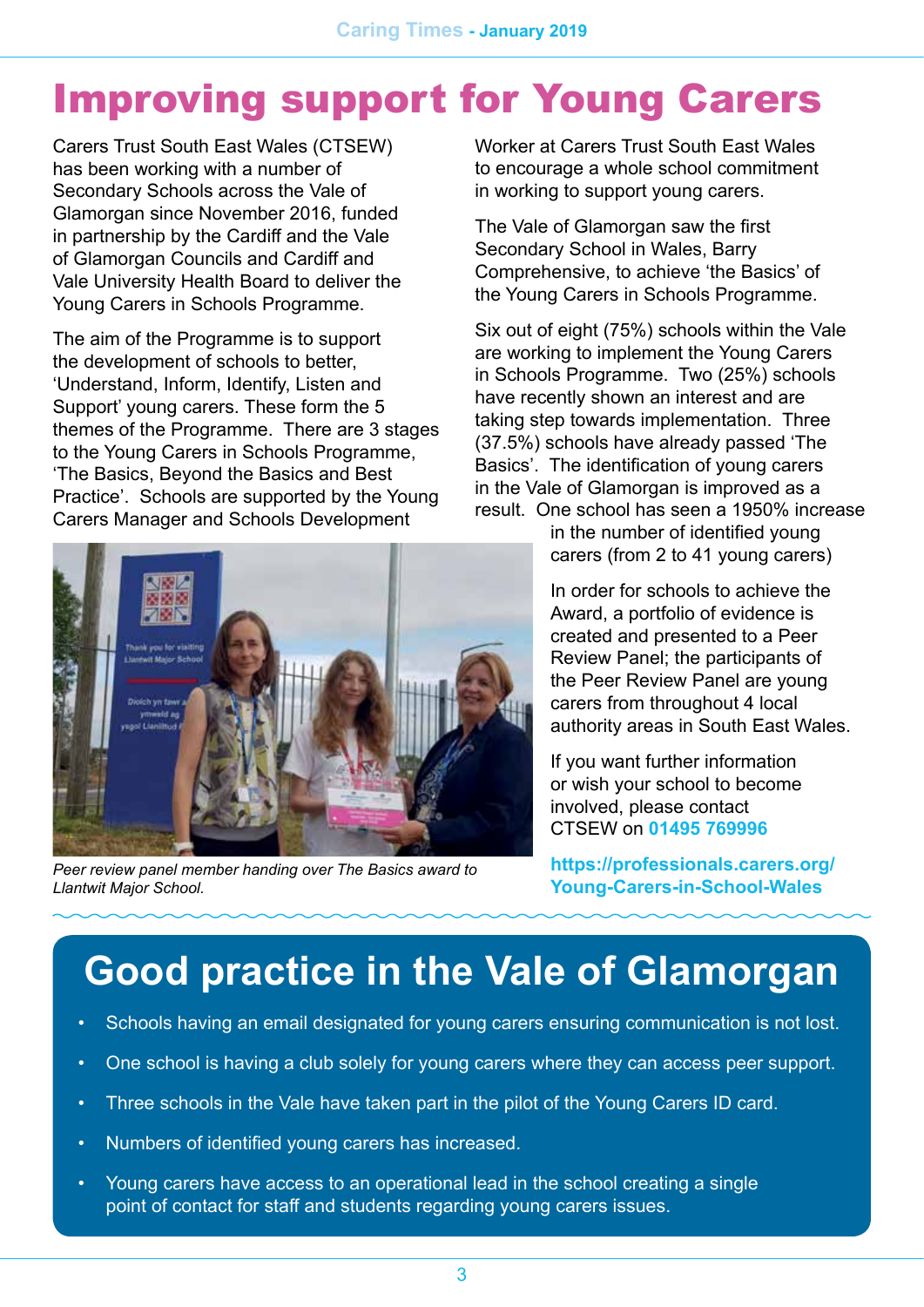# Improving support for Young Carers

Carers Trust South East Wales (CTSEW) has been working with a number of Secondary Schools across the Vale of Glamorgan since November 2016, funded in partnership by the Cardiff and the Vale of Glamorgan Councils and Cardiff and Vale University Health Board to deliver the Young Carers in Schools Programme.

The aim of the Programme is to support the development of schools to better, 'Understand, Inform, Identify, Listen and Support' young carers. These form the 5 themes of the Programme. There are 3 stages to the Young Carers in Schools Programme, 'The Basics, Beyond the Basics and Best Practice'. Schools are supported by the Young Carers Manager and Schools Development



*Peer review panel member handing over The Basics award to Llantwit Major School.*

Worker at Carers Trust South East Wales to encourage a whole school commitment in working to support young carers.

The Vale of Glamorgan saw the first Secondary School in Wales, Barry Comprehensive, to achieve 'the Basics' of the Young Carers in Schools Programme.

Six out of eight (75%) schools within the Vale are working to implement the Young Carers in Schools Programme. Two (25%) schools have recently shown an interest and are taking step towards implementation. Three (37.5%) schools have already passed 'The Basics'. The identification of young carers in the Vale of Glamorgan is improved as a result. One school has seen a 1950% increase

> in the number of identified young carers (from 2 to 41 young carers)

In order for schools to achieve the Award, a portfolio of evidence is created and presented to a Peer Review Panel; the participants of the Peer Review Panel are young carers from throughout 4 local authority areas in South East Wales.

If you want further information or wish your school to become involved, please contact CTSEW on **01495 769996**

**[https://professionals.carers.org/](https://professionals.carers.org/Young-Carers-in-School-Wales) [Young-Carers-in-School-Wales](https://professionals.carers.org/Young-Carers-in-School-Wales)**

# **Good practice in the Vale of Glamorgan**

- Schools having an email designated for young carers ensuring communication is not lost.
- One school is having a club solely for young carers where they can access peer support.
- Three schools in the Vale have taken part in the pilot of the Young Carers ID card.
- Numbers of identified young carers has increased.
- Young carers have access to an operational lead in the school creating a single point of contact for staff and students regarding young carers issues.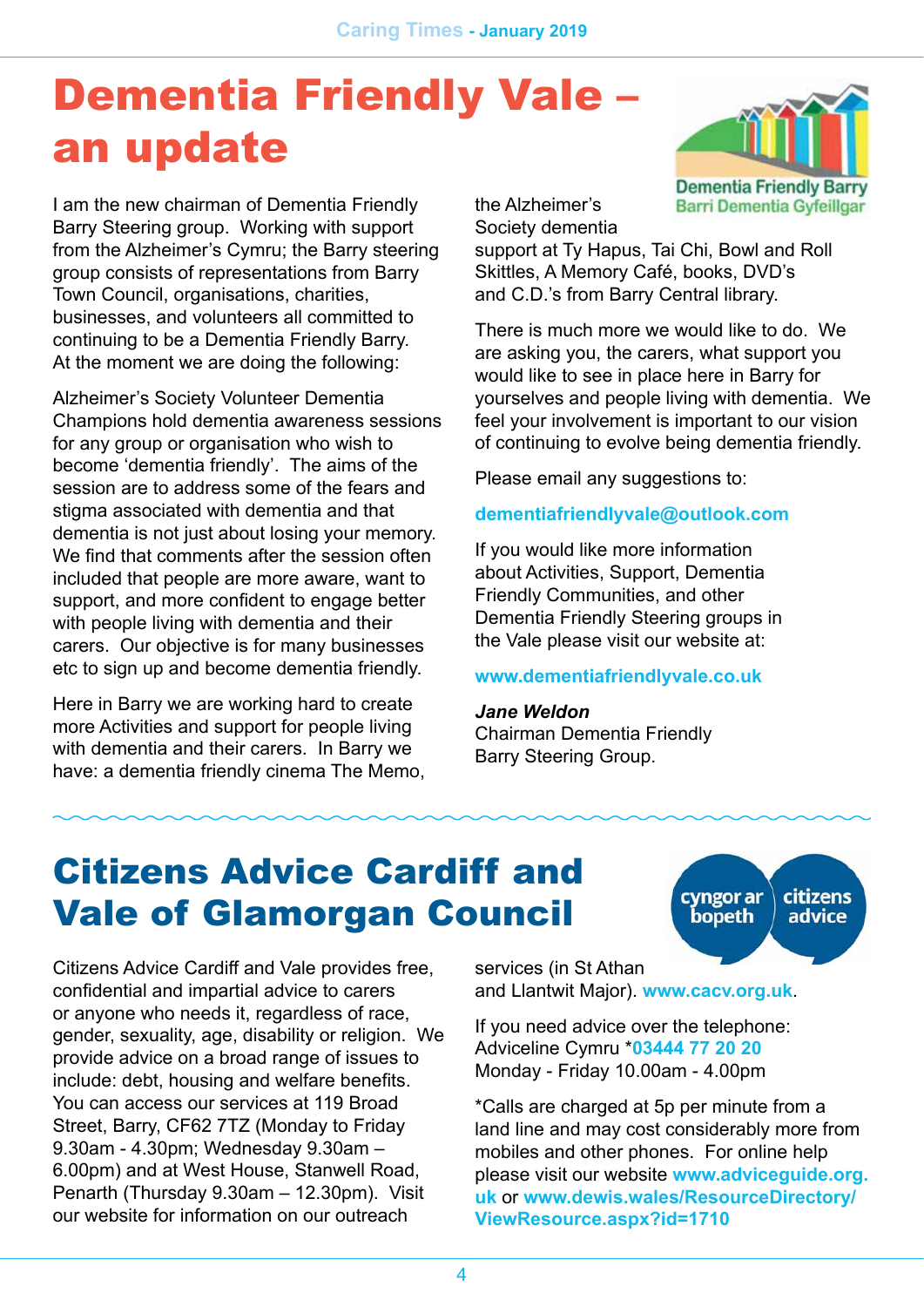# Dementia Friendly Vale – an update

I am the new chairman of Dementia Friendly Barry Steering group. Working with support from the Alzheimer's Cymru; the Barry steering group consists of representations from Barry Town Council, organisations, charities, businesses, and volunteers all committed to continuing to be a Dementia Friendly Barry. At the moment we are doing the following:

Alzheimer's Society Volunteer Dementia Champions hold dementia awareness sessions for any group or organisation who wish to become 'dementia friendly'. The aims of the session are to address some of the fears and stigma associated with dementia and that dementia is not just about losing your memory. We find that comments after the session often included that people are more aware, want to support, and more confident to engage better with people living with dementia and their carers. Our objective is for many businesses etc to sign up and become dementia friendly.

Here in Barry we are working hard to create more Activities and support for people living with dementia and their carers. In Barry we have: a dementia friendly cinema The Memo, the Alzheimer's Society dementia

support at Ty Hapus, Tai Chi, Bowl and Roll Skittles, A Memory Café, books, DVD's and C.D.'s from Barry Central library.

There is much more we would like to do. We are asking you, the carers, what support you would like to see in place here in Barry for yourselves and people living with dementia. We feel your involvement is important to our vision of continuing to evolve being dementia friendly.

Please email any suggestions to:

#### **[dementiafriendlyvale@outlook.com](mailto:dementiafriendlyvale@outlook.com)**

If you would like more information about Activities, Support, Dementia Friendly Communities, and other Dementia Friendly Steering groups in the Vale please visit our website at:

#### **[www.dementiafriendlyvale.co.uk](http://www.dementiafriendlyvale.co.uk)**

#### *Jane Weldon*

Chairman Dementia Friendly Barry Steering Group.

### Citizens Advice Cardiff and Vale of Glamorgan Council

Citizens Advice Cardiff and Vale provides free, confidential and impartial advice to carers or anyone who needs it, regardless of race, gender, sexuality, age, disability or religion. We provide advice on a broad range of issues to include: debt, housing and welfare benefits. You can access our services at 119 Broad Street, Barry, CF62 7TZ (Monday to Friday 9.30am - 4.30pm; Wednesday 9.30am – 6.00pm) and at West House, Stanwell Road, Penarth (Thursday 9.30am – 12.30pm). Visit our website for information on our outreach

services (in St Athan and Llantwit Major). **[www.cacv.org.uk](http://www.cacv.org.uk)**.

If you need advice over the telephone: Adviceline Cymru \***03444 77 20 20** Monday - Friday 10.00am - 4.00pm

\*Calls are charged at 5p per minute from a land line and may cost considerably more from mobiles and other phones. For online help please visit our website **[www.adviceguide.org.](http://www.adviceguide.org.uk) [uk](http://www.adviceguide.org.uk)** or **[www.dewis.wales/ResourceDirectory/](http://www.dewis.wales/ResourceDirectory/ViewResource.aspx?id=1710) [ViewResource.aspx?id=1710](http://www.dewis.wales/ResourceDirectory/ViewResource.aspx?id=1710)**



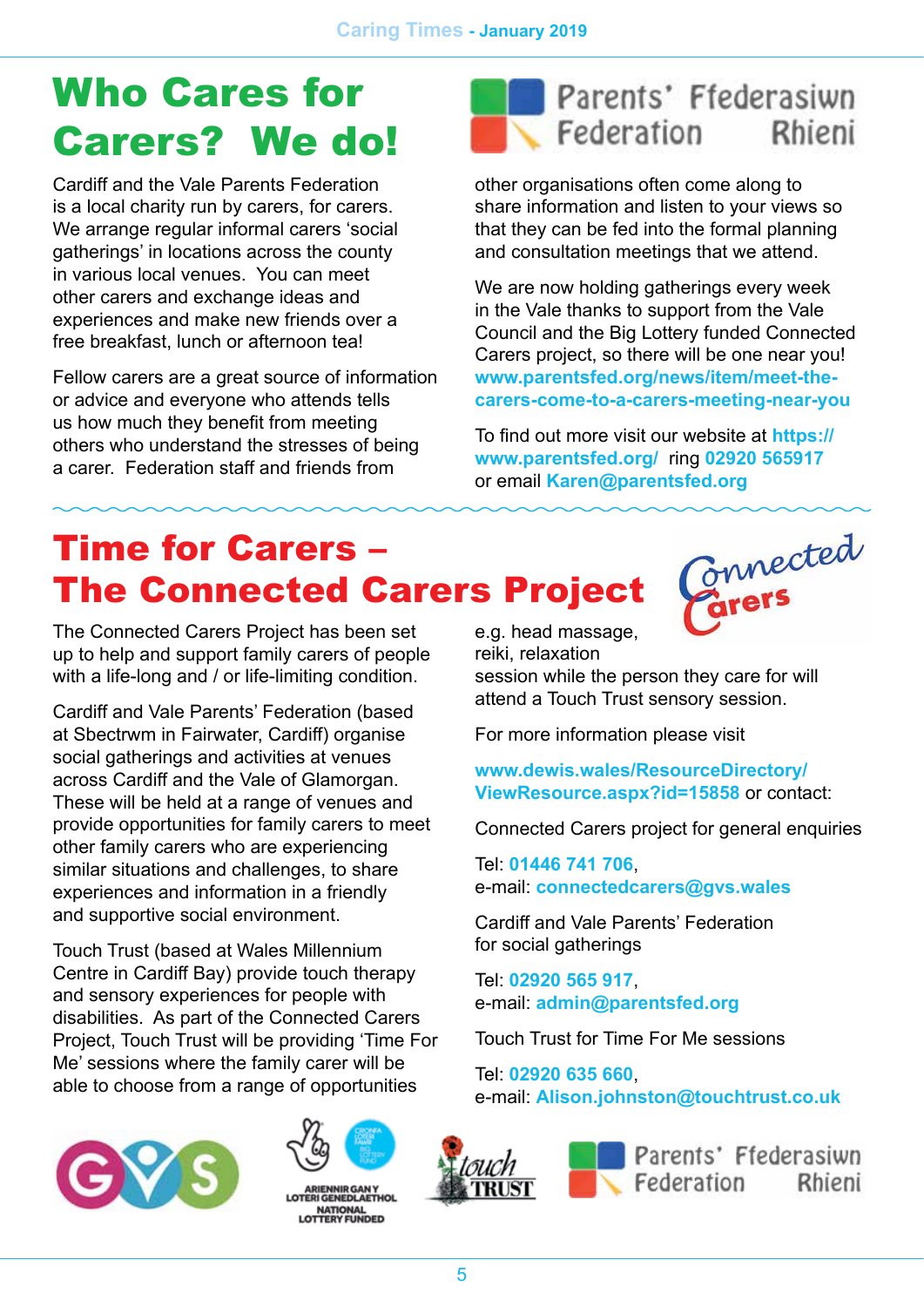# Who Cares for Carers? We do!

Cardiff and the Vale Parents Federation is a local charity run by carers, for carers. We arrange regular informal carers 'social gatherings' in locations across the county in various local venues. You can meet other carers and exchange ideas and experiences and make new friends over a free breakfast, lunch or afternoon tea!

Fellow carers are a great source of information or advice and everyone who attends tells us how much they benefit from meeting others who understand the stresses of being a carer. Federation staff and friends from



other organisations often come along to share information and listen to your views so that they can be fed into the formal planning and consultation meetings that we attend.

We are now holding gatherings every week in the Vale thanks to support from the Vale Council and the Big Lottery funded Connected Carers project, so there will be one near you! **[www.parentsfed.org/news/item/meet-the](http://www.parentsfed.org/news/item/meet-the-carers-come-to-a-carers-meeting-near-you)[carers-come-to-a-carers-meeting-near-you](http://www.parentsfed.org/news/item/meet-the-carers-come-to-a-carers-meeting-near-you)**

To find out more visit our website at **[https://](https://www.parentsfed.org/) [www.parentsfed.org/](https://www.parentsfed.org/)** ring **02920 565917** or email **[Karen@parentsfed.org](mailto:Karen@parentsfed.org)**

# Time for Carers – The Connected Carers Project

The Connected Carers Project has been set up to help and support family carers of people with a life-long and / or life-limiting condition.

Cardiff and Vale Parents' Federation (based at Sbectrwm in Fairwater, Cardiff) organise social gatherings and activities at venues across Cardiff and the Vale of Glamorgan. These will be held at a range of venues and provide opportunities for family carers to meet other family carers who are experiencing similar situations and challenges, to share experiences and information in a friendly and supportive social environment.

Touch Trust (based at Wales Millennium Centre in Cardiff Bay) provide touch therapy and sensory experiences for people with disabilities. As part of the Connected Carers Project, Touch Trust will be providing 'Time For Me' sessions where the family carer will be able to choose from a range of opportunities





**ATIONAL**<br>ERY EUNDED

Connected e.g. head massage, reiki, relaxation session while the person they care for will attend a Touch Trust sensory session.

For more information please visit

**[www.dewis.wales/ResourceDirectory/](http://www.dewis.wales/ResourceDirectory/ViewResource.aspx?id=15858) [ViewResource.aspx?id=15858](http://www.dewis.wales/ResourceDirectory/ViewResource.aspx?id=15858)** or contact:

Connected Carers project for general enquiries

Tel: **01446 741 706**, e-mail: **[connectedcarers@gvs.wales](mailto:connectedcarers@gvs.wales)**

Cardiff and Vale Parents' Federation for social gatherings

Tel: **02920 565 917**, e-mail: **[admin@parentsfed.org](mailto:admin@parentsfed.org)**

Touch Trust for Time For Me sessions

Tel: **02920 635 660**, e-mail: **[Alison.johnston@touchtrust.co.uk](mailto:Alison.johnston@touchtrust.co.uk)**





Parents' Ffederasiwn  $\sqrt{\frac{1}{2}}$  Federation Rhieni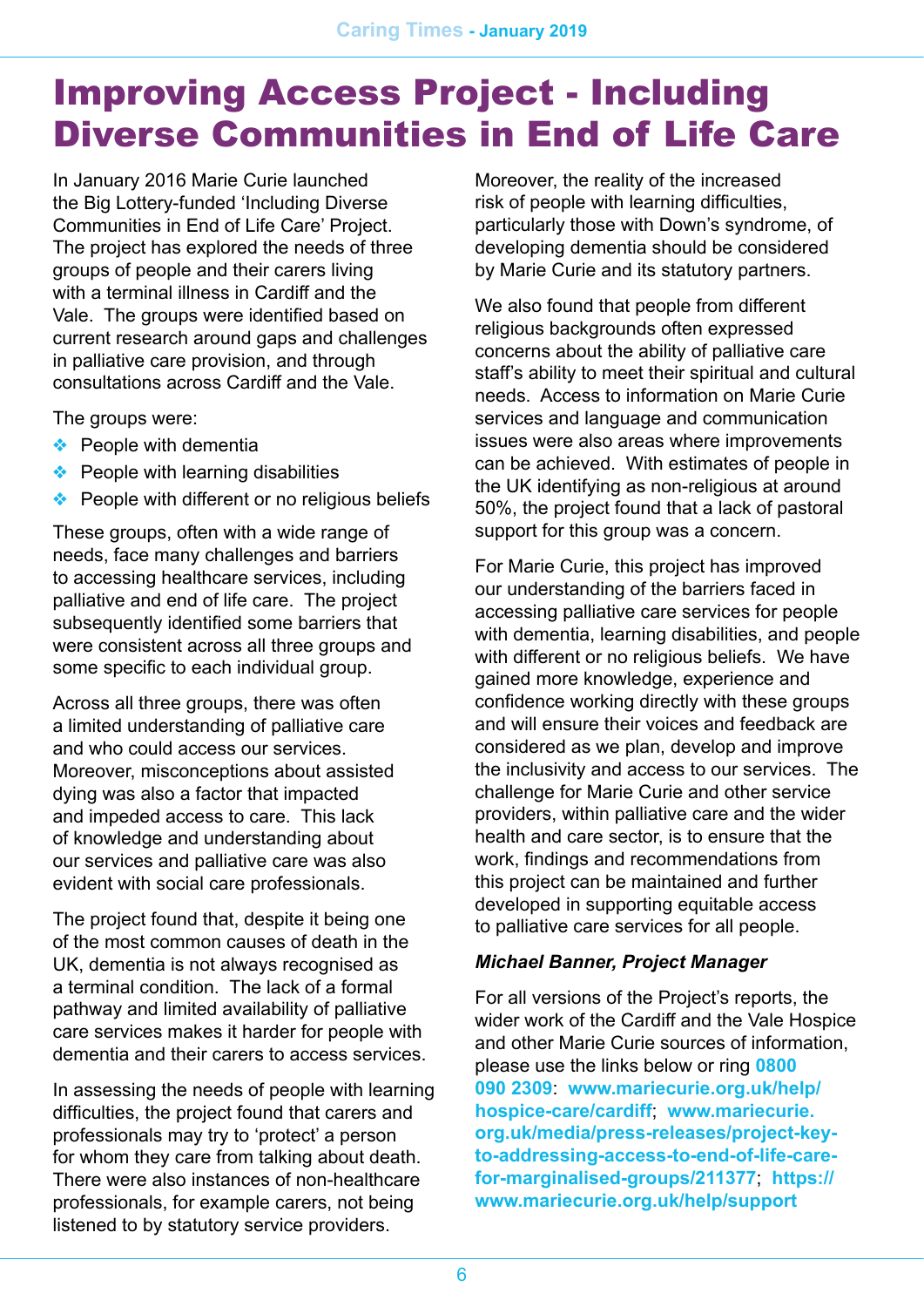### Improving Access Project - Including Diverse Communities in End of Life Care

In January 2016 Marie Curie launched the Big Lottery-funded 'Including Diverse Communities in End of Life Care' Project. The project has explored the needs of three groups of people and their carers living with a terminal illness in Cardiff and the Vale. The groups were identified based on current research around gaps and challenges in palliative care provision, and through consultations across Cardiff and the Vale.

The groups were:

- ❖ People with dementia
- ❖ People with learning disabilities
- ❖ People with different or no religious beliefs

These groups, often with a wide range of needs, face many challenges and barriers to accessing healthcare services, including palliative and end of life care. The project subsequently identified some barriers that were consistent across all three groups and some specific to each individual group.

Across all three groups, there was often a limited understanding of palliative care and who could access our services. Moreover, misconceptions about assisted dying was also a factor that impacted and impeded access to care. This lack of knowledge and understanding about our services and palliative care was also evident with social care professionals.

The project found that, despite it being one of the most common causes of death in the UK, dementia is not always recognised as a terminal condition. The lack of a formal pathway and limited availability of palliative care services makes it harder for people with dementia and their carers to access services.

In assessing the needs of people with learning difficulties, the project found that carers and professionals may try to 'protect' a person for whom they care from talking about death. There were also instances of non-healthcare professionals, for example carers, not being listened to by statutory service providers.

Moreover, the reality of the increased risk of people with learning difficulties, particularly those with Down's syndrome, of developing dementia should be considered by Marie Curie and its statutory partners.

We also found that people from different religious backgrounds often expressed concerns about the ability of palliative care staff's ability to meet their spiritual and cultural needs. Access to information on Marie Curie services and language and communication issues were also areas where improvements can be achieved. With estimates of people in the UK identifying as non-religious at around 50%, the project found that a lack of pastoral support for this group was a concern.

For Marie Curie, this project has improved our understanding of the barriers faced in accessing palliative care services for people with dementia, learning disabilities, and people with different or no religious beliefs. We have gained more knowledge, experience and confidence working directly with these groups and will ensure their voices and feedback are considered as we plan, develop and improve the inclusivity and access to our services. The challenge for Marie Curie and other service providers, within palliative care and the wider health and care sector, is to ensure that the work, findings and recommendations from this project can be maintained and further developed in supporting equitable access to palliative care services for all people.

#### *Michael Banner, Project Manager*

For all versions of the Project's reports, the wider work of the Cardiff and the Vale Hospice and other Marie Curie sources of information, please use the links below or ring **0800 090 2309**: **[www.mariecurie.org.uk/help/](http://www.mariecurie.org.uk/help/hospice-care/cardiff) [hospice-care/cardiff](http://www.mariecurie.org.uk/help/hospice-care/cardiff)**; **[www.mariecurie.](http://www.mariecurie.org.uk/media/press-releases/project-key-to-addressing-access-to-end-of-life-care-for-marginalised-groups/211377) [org.uk/media/press-releases/project-key](http://www.mariecurie.org.uk/media/press-releases/project-key-to-addressing-access-to-end-of-life-care-for-marginalised-groups/211377)[to-addressing-access-to-end-of-life-care](http://www.mariecurie.org.uk/media/press-releases/project-key-to-addressing-access-to-end-of-life-care-for-marginalised-groups/211377)[for-marginalised-groups/211377](http://www.mariecurie.org.uk/media/press-releases/project-key-to-addressing-access-to-end-of-life-care-for-marginalised-groups/211377)**; **[https://](https://www.mariecurie.org.uk/help/support) [www.mariecurie.org.uk/help/support](https://www.mariecurie.org.uk/help/support)**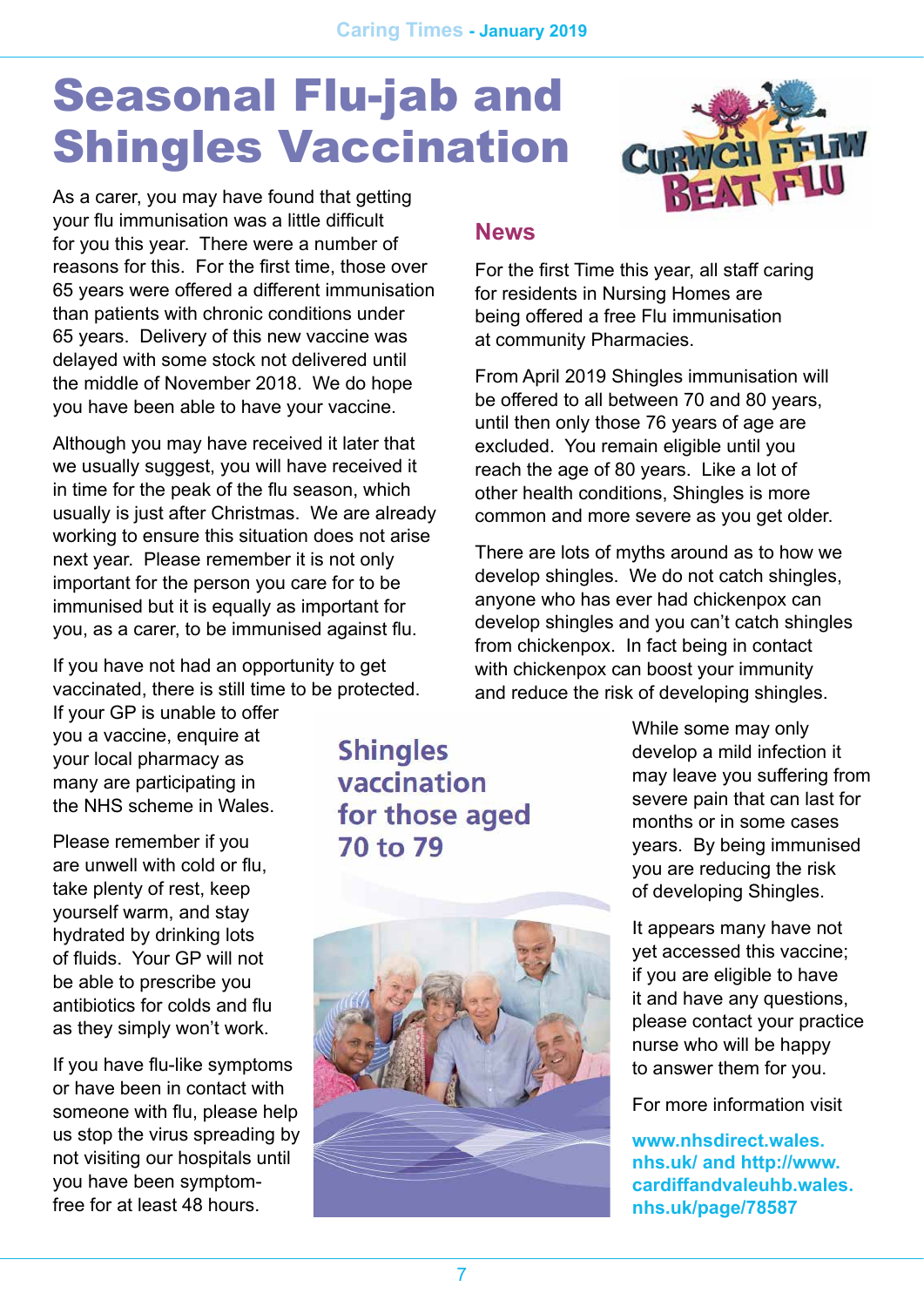# Seasonal Flu-jab and Shingles Vaccination



As a carer, you may have found that getting your flu immunisation was a little difficult for you this year. There were a number of reasons for this. For the first time, those over 65 years were offered a different immunisation than patients with chronic conditions under 65 years. Delivery of this new vaccine was delayed with some stock not delivered until the middle of November 2018. We do hope you have been able to have your vaccine.

Although you may have received it later that we usually suggest, you will have received it in time for the peak of the flu season, which usually is just after Christmas. We are already working to ensure this situation does not arise next year. Please remember it is not only important for the person you care for to be immunised but it is equally as important for you, as a carer, to be immunised against flu.

If you have not had an opportunity to get vaccinated, there is still time to be protected.

If your GP is unable to offer you a vaccine, enquire at your local pharmacy as many are participating in the NHS scheme in Wales.

Please remember if you are unwell with cold or flu, take plenty of rest, keep yourself warm, and stay hydrated by drinking lots of fluids. Your GP will not be able to prescribe you antibiotics for colds and flu as they simply won't work.

If you have flu-like symptoms or have been in contact with someone with flu, please help us stop the virus spreading by not visiting our hospitals until you have been symptomfree for at least 48 hours.

#### **Shingles** vaccination for those aged 70 to 79



#### **News**

For the first Time this year, all staff caring for residents in Nursing Homes are being offered a free Flu immunisation at community Pharmacies.

From April 2019 Shingles immunisation will be offered to all between 70 and 80 years, until then only those 76 years of age are excluded. You remain eligible until you reach the age of 80 years. Like a lot of other health conditions, Shingles is more common and more severe as you get older.

There are lots of myths around as to how we develop shingles. We do not catch shingles, anyone who has ever had chickenpox can develop shingles and you can't catch shingles from chickenpox. In fact being in contact with chickenpox can boost your immunity and reduce the risk of developing shingles.

> While some may only develop a mild infection it may leave you suffering from severe pain that can last for months or in some cases years. By being immunised you are reducing the risk of developing Shingles.

It appears many have not yet accessed this vaccine; if you are eligible to have it and have any questions, please contact your practice nurse who will be happy to answer them for you.

For more information visit

**[www.nhsdirect.wales.](http://www.nhsdirect.wales.nhs.uk/) [nhs.uk/](http://www.nhsdirect.wales.nhs.uk/) and [http://www.](http://www.cardiffandvaleuhb.wales.nhs.uk/page/78587) [cardiffandvaleuhb.wales.](http://www.cardiffandvaleuhb.wales.nhs.uk/page/78587) [nhs.uk/page/78587](http://www.cardiffandvaleuhb.wales.nhs.uk/page/78587)**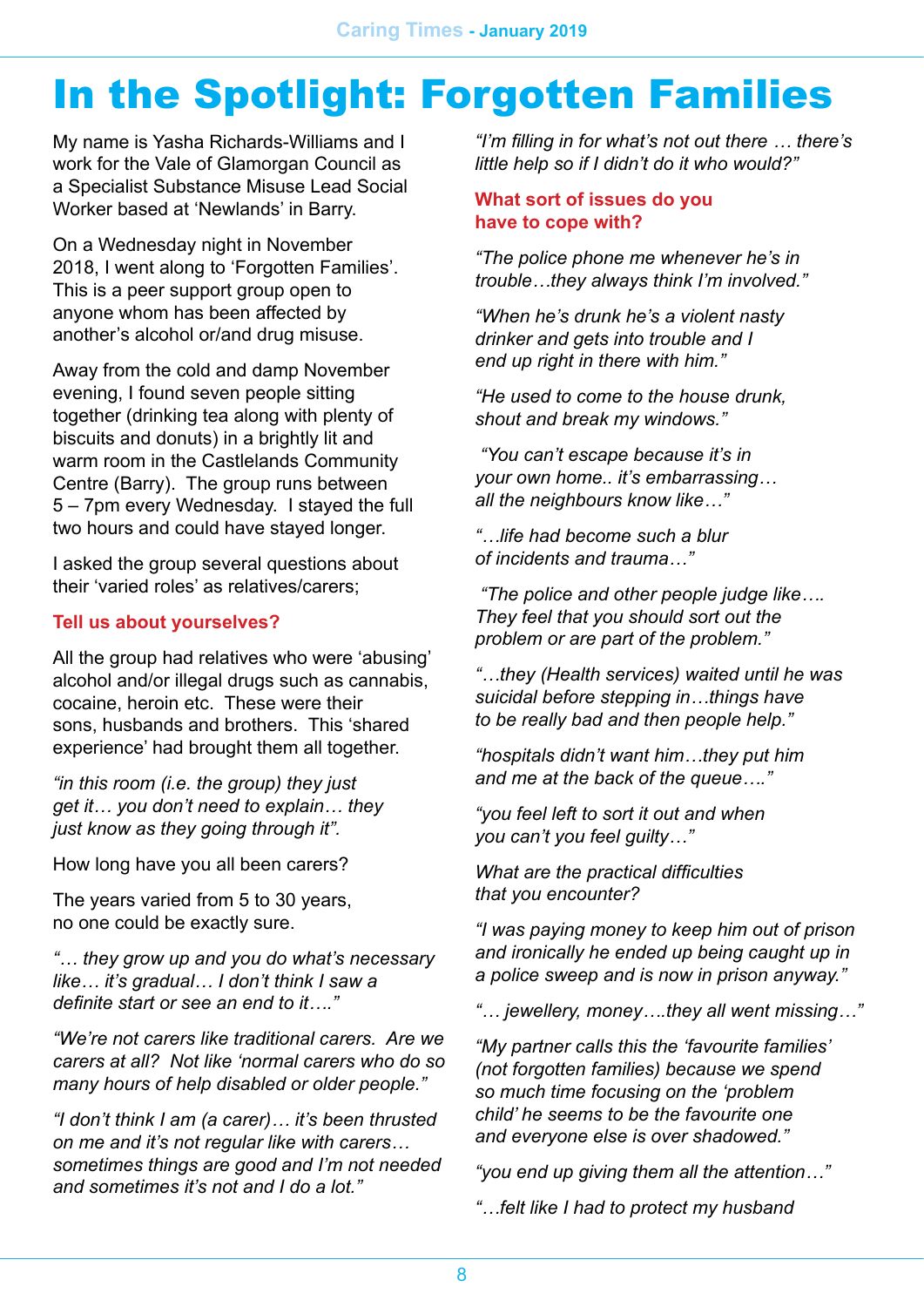# In the Spotlight: Forgotten Families

My name is Yasha Richards-Williams and I work for the Vale of Glamorgan Council as a Specialist Substance Misuse Lead Social Worker based at 'Newlands' in Barry.

On a Wednesday night in November 2018, I went along to 'Forgotten Families'. This is a peer support group open to anyone whom has been affected by another's alcohol or/and drug misuse.

Away from the cold and damp November evening, I found seven people sitting together (drinking tea along with plenty of biscuits and donuts) in a brightly lit and warm room in the Castlelands Community Centre (Barry). The group runs between 5 – 7pm every Wednesday. I stayed the full two hours and could have stayed longer.

I asked the group several questions about their 'varied roles' as relatives/carers;

#### **Tell us about yourselves?**

All the group had relatives who were 'abusing' alcohol and/or illegal drugs such as cannabis, cocaine, heroin etc. These were their sons, husbands and brothers. This 'shared experience' had brought them all together.

*"in this room (i.e. the group) they just get it… you don't need to explain… they just know as they going through it".*

How long have you all been carers?

The years varied from 5 to 30 years, no one could be exactly sure.

*"… they grow up and you do what's necessary like… it's gradual… I don't think I saw a definite start or see an end to it…."*

*"We're not carers like traditional carers. Are we carers at all? Not like 'normal carers who do so many hours of help disabled or older people."*

*"I don't think I am (a carer)… it's been thrusted on me and it's not regular like with carers… sometimes things are good and I'm not needed and sometimes it's not and I do a lot."*

*"I'm filling in for what's not out there … there's little help so if I didn't do it who would?"*

#### **What sort of issues do you have to cope with?**

*"The police phone me whenever he's in trouble…they always think I'm involved."*

*"When he's drunk he's a violent nasty drinker and gets into trouble and I end up right in there with him."*

*"He used to come to the house drunk, shout and break my windows."*

 *"You can't escape because it's in your own home.. it's embarrassing… all the neighbours know like…"*

*"…life had become such a blur of incidents and trauma…"*

 *"The police and other people judge like…. They feel that you should sort out the problem or are part of the problem."*

*"…they (Health services) waited until he was suicidal before stepping in…things have to be really bad and then people help."*

*"hospitals didn't want him…they put him and me at the back of the queue…."*

*"you feel left to sort it out and when you can't you feel guilty…"*

*What are the practical difficulties that you encounter?*

*"I was paying money to keep him out of prison and ironically he ended up being caught up in a police sweep and is now in prison anyway."*

*"… jewellery, money….they all went missing…"*

*"My partner calls this the 'favourite families' (not forgotten families) because we spend so much time focusing on the 'problem child' he seems to be the favourite one and everyone else is over shadowed."*

*"you end up giving them all the attention…"*

*"…felt like I had to protect my husband*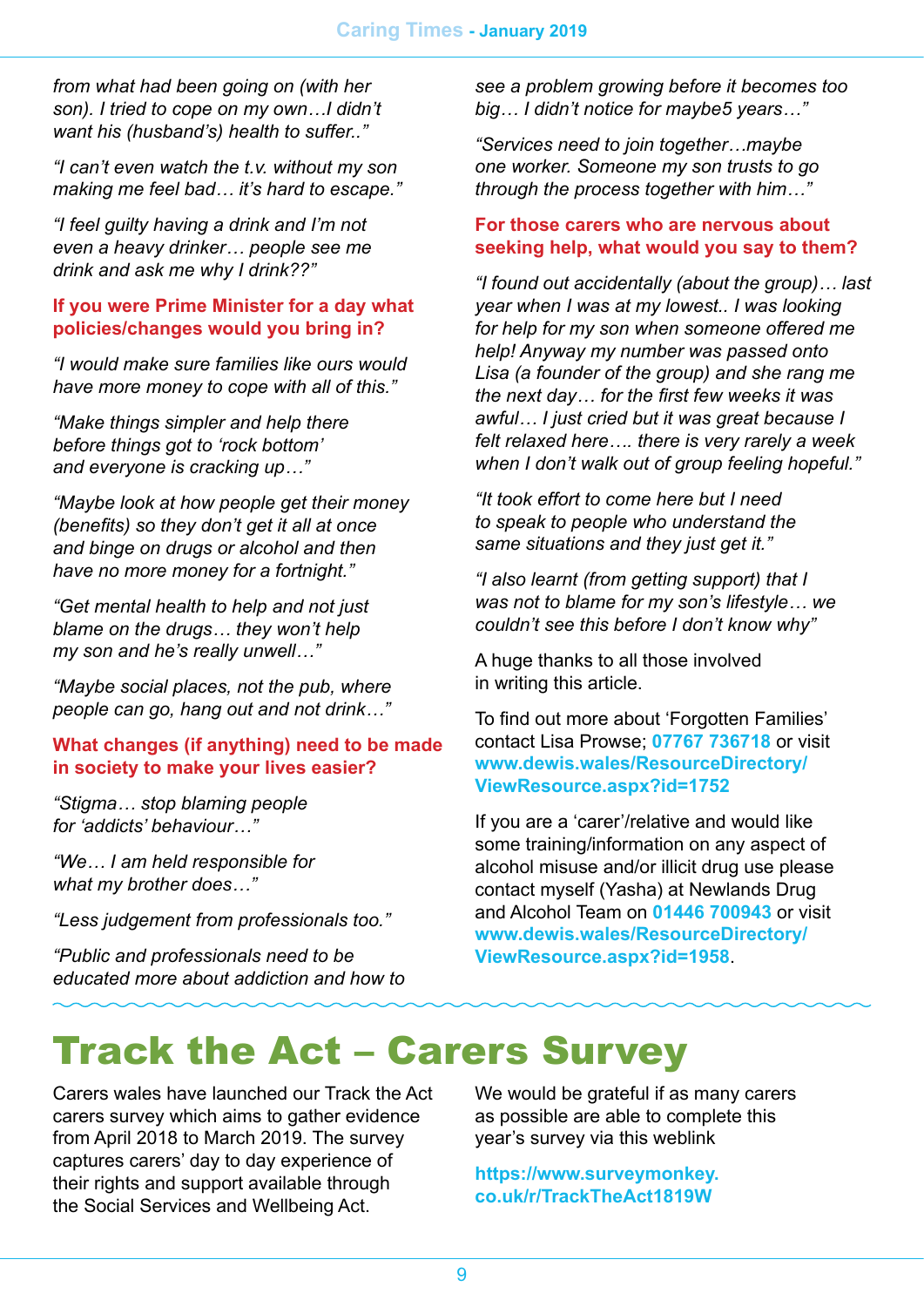*from what had been going on (with her son). I tried to cope on my own…I didn't want his (husband's) health to suffer.."*

*"I can't even watch the t.v. without my son making me feel bad… it's hard to escape."*

*"I feel guilty having a drink and I'm not even a heavy drinker… people see me drink and ask me why I drink??"*

#### **If you were Prime Minister for a day what policies/changes would you bring in?**

*"I would make sure families like ours would have more money to cope with all of this."*

*"Make things simpler and help there before things got to 'rock bottom' and everyone is cracking up…"*

*"Maybe look at how people get their money (benefits) so they don't get it all at once and binge on drugs or alcohol and then have no more money for a fortnight."*

*"Get mental health to help and not just blame on the drugs… they won't help my son and he's really unwell…"*

*"Maybe social places, not the pub, where people can go, hang out and not drink…"*

#### **What changes (if anything) need to be made in society to make your lives easier?**

*"Stigma… stop blaming people for 'addicts' behaviour…"*

*"We… I am held responsible for what my brother does…"*

*"Less judgement from professionals too."*

*"Public and professionals need to be educated more about addiction and how to*  *see a problem growing before it becomes too big… I didn't notice for maybe5 years…"*

*"Services need to join together…maybe one worker. Someone my son trusts to go through the process together with him…"*

#### **For those carers who are nervous about seeking help, what would you say to them?**

*"I found out accidentally (about the group)… last year when I was at my lowest.. I was looking for help for my son when someone offered me help! Anyway my number was passed onto Lisa (a founder of the group) and she rang me the next day… for the first few weeks it was awful… I just cried but it was great because I felt relaxed here…. there is very rarely a week when I don't walk out of group feeling hopeful."*

*"It took effort to come here but I need to speak to people who understand the same situations and they just get it."*

*"I also learnt (from getting support) that I was not to blame for my son's lifestyle… we couldn't see this before I don't know why"*

A huge thanks to all those involved in writing this article.

To find out more about 'Forgotten Families' contact Lisa Prowse; **07767 736718** or visit **[www.dewis.wales/ResourceDirectory/](http://www.dewis.wales/ResourceDirectory/ViewResource.aspx?id=1752) [ViewResource.aspx?id=1752](http://www.dewis.wales/ResourceDirectory/ViewResource.aspx?id=1752)**

If you are a 'carer'/relative and would like some training/information on any aspect of alcohol misuse and/or illicit drug use please contact myself (Yasha) at Newlands Drug and Alcohol Team on **01446 700943** or visit **[www.dewis.wales/ResourceDirectory/](http://www.dewis.wales/ResourceDirectory/ViewResource.aspx?id=1958) [ViewResource.aspx?id=1958](http://www.dewis.wales/ResourceDirectory/ViewResource.aspx?id=1958)**.

### Track the Act – Carers Survey

Carers wales have launched our Track the Act carers survey which aims to gather evidence from April 2018 to March 2019. The survey captures carers' day to day experience of their rights and support available through the Social Services and Wellbeing Act.

We would be grateful if as many carers as possible are able to complete this year's survey via this weblink

**[https://www.surveymonkey.](https://www.surveymonkey.co.uk/r/TrackTheAct1819W) [co.uk/r/TrackTheAct1819W](https://www.surveymonkey.co.uk/r/TrackTheAct1819W)**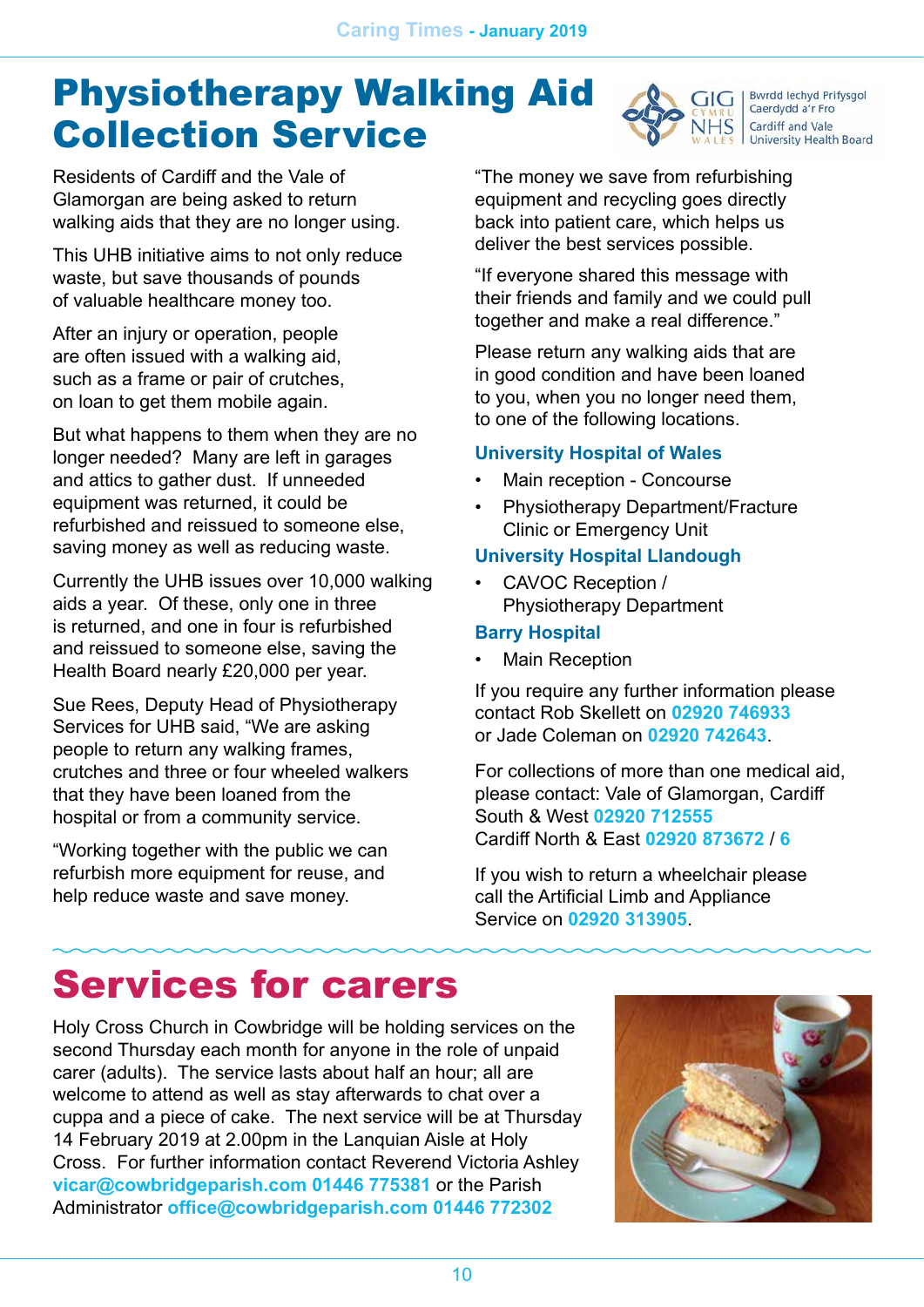### Physiotherapy Walking Aid Collection Service

**Bwrdd lechyd Prifysgol** Caerdydd a'r Fro Cardiff and Vale University Health Board

Residents of Cardiff and the Vale of Glamorgan are being asked to return walking aids that they are no longer using.

This UHB initiative aims to not only reduce waste, but save thousands of pounds of valuable healthcare money too.

After an injury or operation, people are often issued with a walking aid, such as a frame or pair of crutches, on loan to get them mobile again.

But what happens to them when they are no longer needed? Many are left in garages and attics to gather dust. If unneeded equipment was returned, it could be refurbished and reissued to someone else, saving money as well as reducing waste.

Currently the UHB issues over 10,000 walking aids a year. Of these, only one in three is returned, and one in four is refurbished and reissued to someone else, saving the Health Board nearly £20,000 per year.

Sue Rees, Deputy Head of Physiotherapy Services for UHB said, "We are asking people to return any walking frames, crutches and three or four wheeled walkers that they have been loaned from the hospital or from a community service.

"Working together with the public we can refurbish more equipment for reuse, and help reduce waste and save money.

"The money we save from refurbishing equipment and recycling goes directly back into patient care, which helps us deliver the best services possible.

"If everyone shared this message with their friends and family and we could pull together and make a real difference."

Please return any walking aids that are in good condition and have been loaned to you, when you no longer need them, to one of the following locations.

#### **University Hospital of Wales**

- Main reception Concourse
- Physiotherapy Department/Fracture Clinic or Emergency Unit

#### **University Hospital Llandough**

• CAVOC Reception / Physiotherapy Department

#### **Barry Hospital**

• Main Reception

If you require any further information please contact Rob Skellett on **02920 746933** or Jade Coleman on **02920 742643**.

For collections of more than one medical aid, please contact: Vale of Glamorgan, Cardiff South & West **02920 712555** Cardiff North & East **02920 873672** / **6**

If you wish to return a wheelchair please call the Artificial Limb and Appliance Service on **02920 313905**.

# Services for carers

Holy Cross Church in Cowbridge will be holding services on the second Thursday each month for anyone in the role of unpaid carer (adults). The service lasts about half an hour; all are welcome to attend as well as stay afterwards to chat over a cuppa and a piece of cake. The next service will be at Thursday 14 February 2019 at 2.00pm in the Lanquian Aisle at Holy Cross. For further information contact Reverend Victoria Ashley **[vicar@cowbridgeparish.com](mailto:vicar@cowbridgeparish.com) 01446 775381** or the Parish Administrator **[office@cowbridgeparish.com](mailto:office@cowbridgeparish.com) 01446 772302**

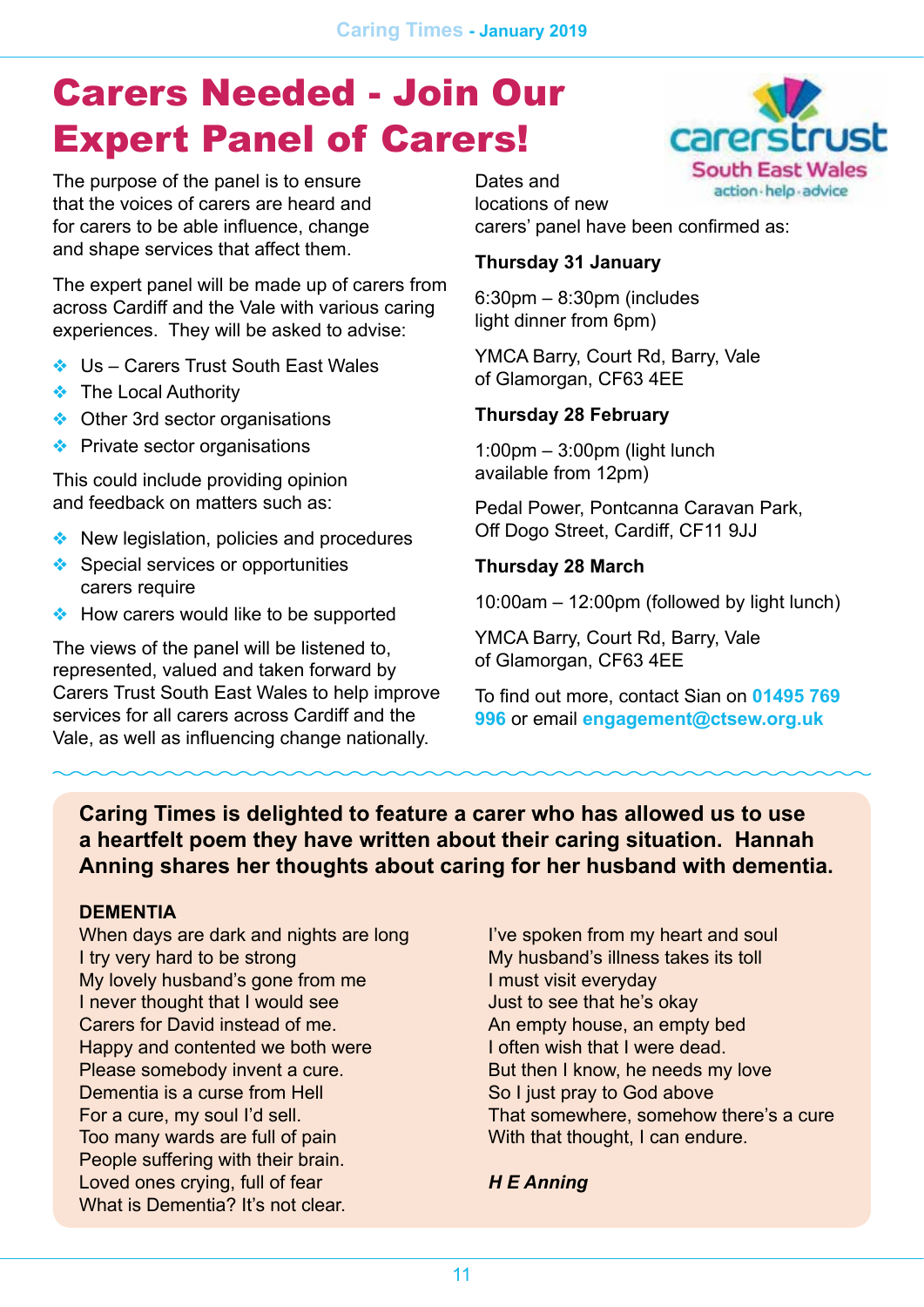### Carers Needed - Join Our Expert Panel of Carers!

The purpose of the panel is to ensure that the voices of carers are heard and for carers to be able influence, change and shape services that affect them.

The expert panel will be made up of carers from across Cardiff and the Vale with various caring experiences. They will be asked to advise:

- ❖ Us Carers Trust South East Wales
- ❖ The Local Authority
- ❖ Other 3rd sector organisations
- ❖ Private sector organisations

This could include providing opinion and feedback on matters such as:

- ❖ New legislation, policies and procedures
- ❖ Special services or opportunities carers require
- ❖ How carers would like to be supported

The views of the panel will be listened to, represented, valued and taken forward by Carers Trust South East Wales to help improve services for all carers across Cardiff and the Vale, as well as influencing change nationally.



Dates and locations of new carers' panel have been confirmed as:

#### **Thursday 31 January**

6:30pm – 8:30pm (includes light dinner from 6pm)

YMCA Barry, Court Rd, Barry, Vale of Glamorgan, CF63 4EE

#### **Thursday 28 February**

1:00pm – 3:00pm (light lunch available from 12pm)

Pedal Power, Pontcanna Caravan Park, Off Dogo Street, Cardiff, CF11 9JJ

#### **Thursday 28 March**

10:00am – 12:00pm (followed by light lunch)

YMCA Barry, Court Rd, Barry, Vale of Glamorgan, CF63 4EE

To find out more, contact Sian on **01495 769 996** or email **[engagement@ctsew.org.uk](mailto:engagement@ctsew.org.uk)**

#### **Caring Times is delighted to feature a carer who has allowed us to use a heartfelt poem they have written about their caring situation. Hannah Anning shares her thoughts about caring for her husband with dementia.**

#### **DEMENTIA**

When days are dark and nights are long I try very hard to be strong My lovely husband's gone from me I never thought that I would see Carers for David instead of me. Happy and contented we both were Please somebody invent a cure. Dementia is a curse from Hell For a cure, my soul I'd sell. Too many wards are full of pain People suffering with their brain. Loved ones crying, full of fear What is Dementia? It's not clear.

I've spoken from my heart and soul My husband's illness takes its toll I must visit everyday Just to see that he's okay An empty house, an empty bed I often wish that I were dead. But then I know, he needs my love So I just pray to God above That somewhere, somehow there's a cure With that thought, I can endure.

#### *H E Anning*